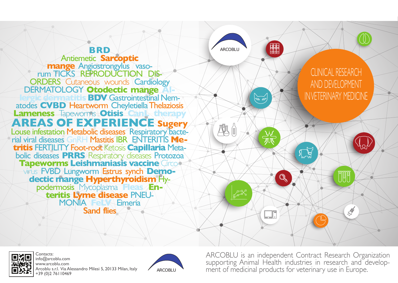## **BRD**

**Antiemetic Sarcoptic mange Angiostrongylus vaso-<br>Fum TICKS REPRODUCTION DIS-ORDERS** Cutaneous wounds Cardiology DERMATOLOGY Otodectic mange AI

atodes CVBD Heartworm Cheyletiella Thelaziosis

# **AREAS OF EXPERIENCE Sugery**

Louse infestation Metabolic diseases Respiratory Bacte-<br>rial viral diseases GnRH Mastitis IBR ENTERITIS Metritis FERTILITY Foot-root Ketosis Capillaria Metabolic diseases PRRS Respiratory diseases Protozoa<br>Tapeworms Leishmaniasis vaccine Circo

dectic mange Hyperthyroidism Hyperthyroidism **MONIA Felix Eimeria** 

**Sand flies** 



Contacts: info@arcoblu.com www.arcoblu.com Arcoblu s.r.l. Via Alessandro Milesi 5, 20133 Milan, Italy +39 (0) 2 76 | 10469



ARCOBLU is an independent Contract Research Organization supporting Animal Health industries in research and development of medicinal products for veterinary use in Europe.

 $\sum_{n=1}^{\infty}$ 

ARCOBLU

**EEE** 

**DOD** 

 $\sqrt{2D}$   $\Delta V$ 

 $\frac{1}{2}$ 

 $\mathbb{Q}$ 

# **CLINICAL RESEARCH** AND DEVELOPMENT **INVETERINARY MEDICINE**

UUD

 $\frac{1}{\sqrt{2}}$